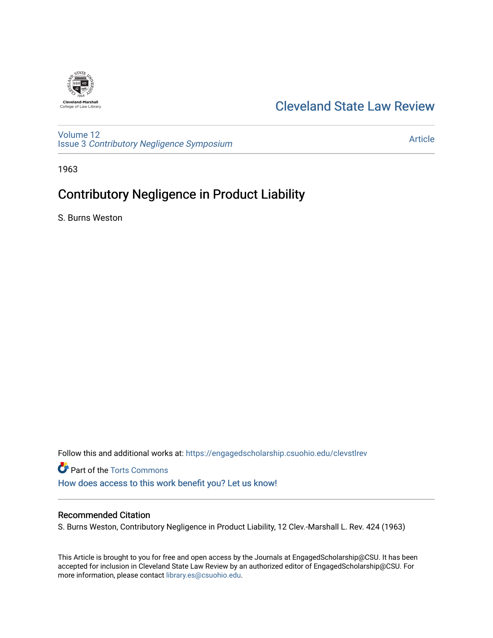

# [Cleveland State Law Review](https://engagedscholarship.csuohio.edu/clevstlrev)

[Volume 12](https://engagedscholarship.csuohio.edu/clevstlrev/vol12) Issue 3 [Contributory Negligence Symposium](https://engagedscholarship.csuohio.edu/clevstlrev/vol12/iss3)

[Article](https://engagedscholarship.csuohio.edu/clevstlrev/vol12/iss3/4) 

1963

# Contributory Negligence in Product Liability

S. Burns Weston

Follow this and additional works at: [https://engagedscholarship.csuohio.edu/clevstlrev](https://engagedscholarship.csuohio.edu/clevstlrev?utm_source=engagedscholarship.csuohio.edu%2Fclevstlrev%2Fvol12%2Fiss3%2F4&utm_medium=PDF&utm_campaign=PDFCoverPages)

**P** Part of the [Torts Commons](http://network.bepress.com/hgg/discipline/913?utm_source=engagedscholarship.csuohio.edu%2Fclevstlrev%2Fvol12%2Fiss3%2F4&utm_medium=PDF&utm_campaign=PDFCoverPages) [How does access to this work benefit you? Let us know!](http://library.csuohio.edu/engaged/)

# Recommended Citation

S. Burns Weston, Contributory Negligence in Product Liability, 12 Clev.-Marshall L. Rev. 424 (1963)

This Article is brought to you for free and open access by the Journals at EngagedScholarship@CSU. It has been accepted for inclusion in Cleveland State Law Review by an authorized editor of EngagedScholarship@CSU. For more information, please contact [library.es@csuohio.edu](mailto:library.es@csuohio.edu).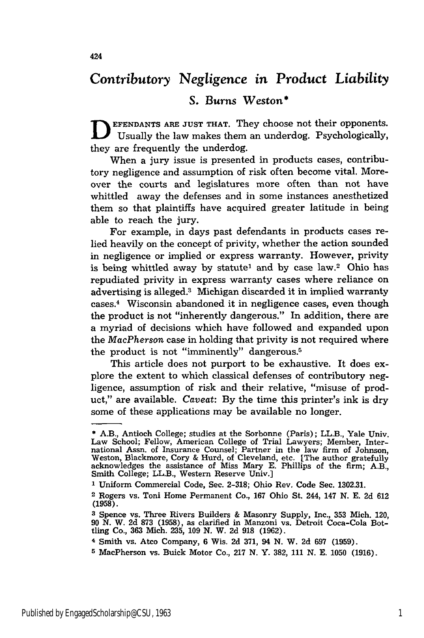# *Contributory* Negligence *in Product Liability*

# **S.** Burns Weston\*

**EFENDANTS ARE JUST THAT.** They choose not their opponents. Usually the law makes them an underdog. Psychologically, they are frequently the underdog.

When a jury issue is presented in products cases, contributory negligence and assumption of risk often become vital. Moreover the courts and legislatures more often than not have whittled away the defenses and in some instances anesthetized them so that plaintiffs have acquired greater latitude in being able to reach the jury.

For example, in days past defendants in products cases relied heavily on the concept of privity, whether the action sounded in negligence or implied or express warranty. However, privity is being whittled away by statute' and by case law.2 Ohio has repudiated privity in express warranty cases where reliance on advertising is alleged.3 Michigan discarded it in implied warranty cases.4 Wisconsin abandoned it in negligence cases, even though the product is not "inherently dangerous." In addition, there are a myriad of decisions which have followed and expanded upon the *MacPherson* case in holding that privity is not required where the product is not "imminently" dangerous.5

This article does not purport to be exhaustive. It does explore the extent to which classical defenses of contributory negligence, assumption of risk and their relative, "misuse of product," are available. *Caveat:* By the time this printer's ink is dry some of these applications may be available no longer.

**5** MacPherson vs. Buick Motor Co., **217 N.** Y. **382, 111 N. E. 1050 (1916).**

**<sup>\*</sup>** A.B., Antioch College; studies at the Sorbonne (Paris); LL.B., Yale Univ. Law School; Fellow, American College of Trial Lawyers; Member, International Assn. of Insurance Counsel; Partner in the law firm of Johnson Weston, Blackmore, Cory & Hurd, of Cleveland, etc. [The author gratefully acknowledges the assistance of Miss Mary E. Phillips of the firm; A.B., Smith College; LL.B., Western Reserve Univ.]

**<sup>1</sup>** Uniform Commercial Code, Sec. 2-318; Ohio Rev. Code Sec. 1302.31.

<sup>2</sup> Rogers vs. Toni Home Permanent Co., 167 Ohio St. 244, 147 **N.** E. 2d 612 (1958).

**<sup>3</sup>** Spence vs. Three Rivers Builders **&** Masonry Supply, Inc., **353** Mich. 120, 90 N. W. **2d** 873 (1958), as clarified in Manzoni vs. Detroit Coca-Cola Bot-tling Co., **363** Mich. **235, 109** *N.* W. **2d 918 (1962).**

<sup>4</sup> Smith vs. Atco Company, **6** Wis. **2d 371,** 94 **N.** W. **2d 697 (1959).**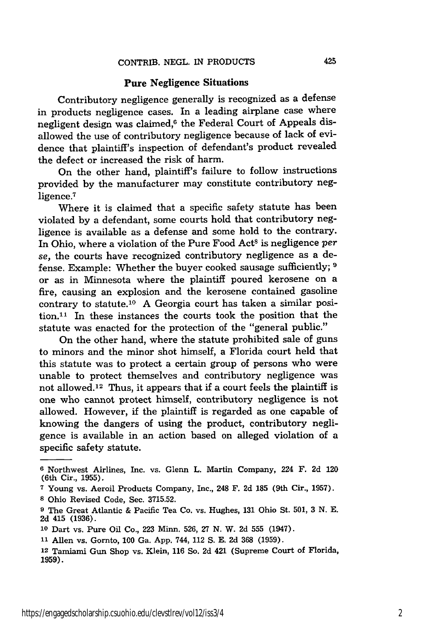#### Pure Negligence Situations

Contributory negligence generally is recognized as a defense in products negligence cases. In a leading airplane case where negligent design was claimed,<sup>6</sup> the Federal Court of Appeals disallowed the use of contributory negligence because of lack of evidence that plaintiff's inspection of defendant's product revealed the defect or increased the risk of harm.

On the other hand, plaintiff's failure to follow instructions provided **by** the manufacturer may constitute contributory negligence.<sup>7</sup>

Where it is claimed that a specific safety statute has been violated **by** a defendant, some courts hold that contributory negligence is available as a defense and some hold to the contrary. In Ohio, where a violation of the Pure Food Act<sup>8</sup> is negligence *per se,* the courts have recognized contributory negligence as a defense. Example: Whether the buyer cooked sausage sufficiently; **9** or as in Minnesota where the plaintiff poured kerosene on a fire, causing an explosion and the kerosene contained gasoline contrary to statute.10 A Georgia court has taken a similar position.'1 In these instances the courts took the position that the statute was enacted for the protection of the "general public."

On the other hand, where the statute prohibited sale of guns to minors and the minor shot himself, a Florida court held that this statute was to protect a certain group of persons who were unable to protect themselves and contributory negligence was not allowed.<sup>12</sup> Thus, it appears that if a court feels the plaintiff is one who cannot protect himself, contributory negligence is not allowed. However, if the plaintiff is regarded as one capable of knowing the dangers of using the product, contributory negligence is available in an action based on alleged violation of a specific safety statute.

**<sup>6</sup>** Northwest Airlines, Inc. vs. Glenn L. Martin Company, 224 F. 2d 120 (6th Cir., **1955).**

**<sup>7</sup>**Young vs. Aeroil Products Company, Inc., 248 F. **2d 185** (9th Cir., **1957). 8** Ohio Revised Code, Sec. **3715.52.**

**<sup>9</sup>** The Great Atlantic **&** Pacific Tea Co. vs. Hughes, **131** Ohio St. **501, 3 N. E. 2d** 415 **(1936).**

**<sup>10</sup>**Dart vs. Pure Oil Co., **223** Minn. **526, 27 N.** W. **2d 555** (1947).

**<sup>11</sup>**Allen vs. Gornto, **100** Ga. **App.** 744, 112 **S. E. 2d 368 (1959).**

<sup>12</sup> Taniami Gun Shop vs. Klein, **116** So. **2d** 421 (Supreme Court of Florida, **1959).**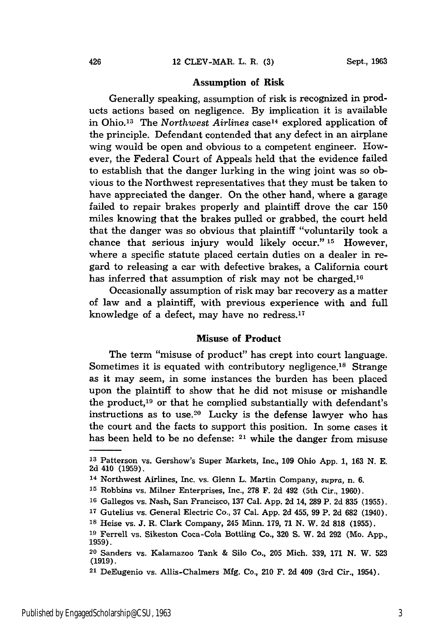#### Assumption of Risk

Generally speaking, assumption of risk is recognized in products actions based on negligence. By implication it is available in Ohio. 13 The *Northwest Airlines* case 14 explored application of the principle. Defendant contended that any defect in an airplane wing would be open and obvious to a competent engineer. However, the Federal Court of Appeals held that the evidence failed to establish that the danger lurking in the wing joint was so obvious to the Northwest representatives that they must be taken to have appreciated the danger. On the other hand, where a garage failed to repair brakes properly and plaintiff drove the car **150** miles knowing that the brakes pulled or grabbed, the court held that the danger was so obvious that plaintiff "voluntarily took a chance that serious injury would likely occur." **15** However, where a specific statute placed certain duties on a dealer in regard to releasing a car with defective brakes, a California court has inferred that assumption of risk may not be charged.<sup>16</sup>

Occasionally assumption of risk may bar recovery as a matter of law and a plaintiff, with previous experience with and full knowledge of a defect, may have no redress.<sup>17</sup>

### Misuse **of Product**

The term "misuse of product" has crept into court language. Sometimes it is equated with contributory negligence.<sup>18</sup> Strange as it may seem, in some instances the burden has been placed upon the plaintiff to show that he did not misuse or mishandle the product,<sup>19</sup> or that he complied substantially with defendant's instructions as to use.<sup>20</sup> Lucky is the defense lawyer who has the court and the facts to support this position. In some cases it has been held to be no defense: **21** while the danger from misuse

**<sup>1</sup>** Patterson vs. Gershow's Super Markets, Inc., **109** Ohio App. 1, **163** N. E. **2d** 410 (1959). 14 Northwest Airlines, Inc. vs. Glenn L. Martin Company, *supra,* n. 6.

**<sup>15</sup>**Robbins vs. Milner Enterprises, Inc., **278** F. **2d** 492 (5th Cir., 1960).

**<sup>16</sup>**Gallegos vs. Nash, San Francisco, 137 Cal. App. 2d 14, **289** P. **2d** 835 (1955).

**<sup>17</sup>**Gutelius vs. General Electric Co., 37 Cal. **App.** 2d 455, **99** P. **2d 682** (1940). **<sup>18</sup>**Heise vs. J. R. Clark Company, 245 Minn. 179, 71 **N.** W. **2d** 818 (1955).

**<sup>19</sup>**Ferrell vs. Sikeston Coca-Cola Bottling Co., **320 S.** W. **2d** 292 (Mo. **App.,** 1959).

**<sup>20</sup>**Sanders vs. Kalamazoo Tank **&** Silo Co., 205 Mich. 339, **171 N.** W. **523 (1919).**

**<sup>21</sup>**DeEugenio vs. Allis-Chalmers **Mfg.** Co., 210 F. **2d** 409 (3rd Cir., 1954).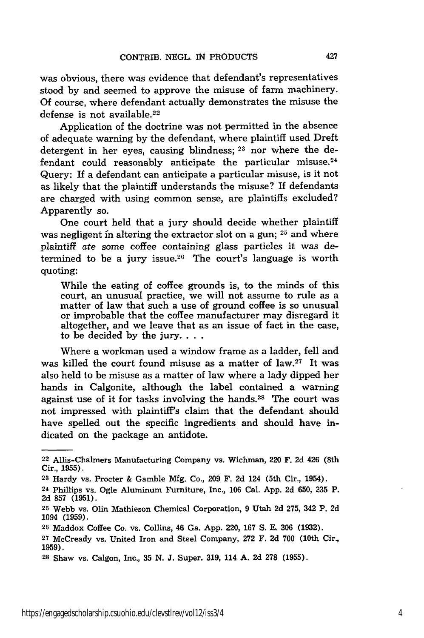was obvious, there was evidence that defendant's representatives stood by and seemed to approve the misuse of farm machinery. Of course, where defendant actually demonstrates the misuse the defense is not available.<sup>22</sup>

Application of the doctrine was not permitted in the absence of adequate warning by the defendant, where plaintiff used Dreft detergent in her eyes, causing blindness; **23** nor where the defendant could reasonably anticipate the particular misuse.<sup>24</sup> Query: If a defendant can anticipate a particular misuse, is it not as likely that the plaintiff understands the misuse? If defendants are charged with using common sense, are plaintiffs excluded? Apparently so.

One court held that a jury should decide whether plaintiff was negligent fn altering the extractor slot on a gun; **25** and where plaintiff ate some coffee containing glass particles it was determined to be a jury issue.<sup>26</sup> The court's language is worth quoting:

While the eating of coffee grounds is, to the minds of this court, an unusual practice, we will not assume to rule as a matter of law that such a use of ground coffee is so unusual or improbable that the coffee manufacturer may disregard it altogether, and we leave that as an issue of fact in the case, to be decided by the jury **...**

Where a workman used a window frame as a ladder, fell and was killed the court found misuse as a matter of  $law.^{27}$  It was also held to be misuse as a matter of law where a lady dipped her hands in Calgonite, although the label contained a warning against use of it for tasks involving the hands.<sup>28</sup> The court was not impressed with plaintiff's claim that the defendant should have spelled out the specific ingredients and should have indicated on the package an antidote.

**<sup>22</sup>**Allis-Chalmers Manufacturing Company vs. Wichman, 220 F. **2d** 426 (8th Cir., **1955).**

**<sup>23</sup>**Hardy vs. Procter & Gamble **Mfg.** Co., **209** F. **2d** 124 (5th Cir., 1954).

<sup>24</sup> Phillips vs. Ogle Aluminum Furniture, Inc., **106** Cal. **App. 2d 650, 235** P. **2d 857 (1951).**

**<sup>25</sup>**Webb vs. Olin Mathieson Chemical Corporation, **9** Utah **2d 275,** 342 P. **2d** 1094 (1959).

**<sup>20</sup>** Maddox Coffee Co. vs. Collins, 46 Ga. **App.** 220, 167 **S. E.** 306 (1932).

**<sup>27</sup>**McCready vs. United Iron and Steel Company, 272 F. **2d 700** (10th Cir., **1959).**

**<sup>28</sup>**Shaw vs. Calgon, Inc., **35 N. J.** Super. **319,** 114 **A. 2d 278 (1955).**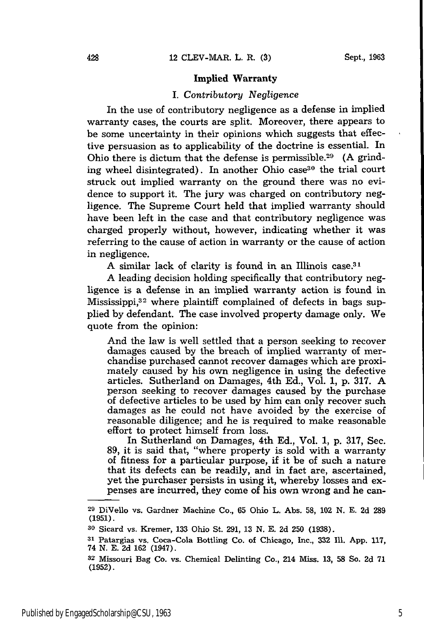#### **Implied Warranty**

# *I. Contributory Negligence*

In the use of contributory negligence as a defense in implied warranty cases, the courts are split. Moreover, there appears to be some uncertainty in their opinions which suggests that effective persuasion as to applicability of the doctrine is essential. In Ohio there is dictum that the defense is permissible.<sup>29</sup> (A grinding wheel disintegrated). In another Ohio case<sup>30</sup> the trial court struck out implied warranty on the ground there was no evidence to support it. The jury was charged on contributory negligence. The Supreme Court held that implied warranty should have been left in the case and that contributory negligence was charged properly without, however, indicating whether it was referring to the cause of action in warranty or the cause of action in negligence.

A similar lack of clarity is found in an Illinois case.<sup>31</sup>

**A** leading decision holding specifically that contributory negligence is a defense in an implied warranty action is found in Mississippi,<sup>32</sup> where plaintiff complained of defects in bags supplied by defendant. The case involved property damage only. We quote from the opinion:

And the law is well settled that a person seeking to recover damages caused by the breach of implied warranty of merchandise purchased cannot recover damages which are proximately caused by his own negligence in using the defective articles. Sutherland on Damages, 4th Ed., Vol. 1, p. 317. A person seeking to recover damages caused by the purchase of defective articles to be used by him can only recover such damages as he could not have avoided by the exercise of reasonable diligence; and he is required to make reasonable effort to protect himself from loss.

In Sutherland on Damages, 4th Ed., Vol. 1, p. 317, Sec. 89, it is said that, "where property is sold with a warranty of fitness for a particular purpose, if it be of such a nature that its defects can be readily, and in fact are, ascertained, yet the purchaser persists in using it, whereby losses and expenses are incurred, they come of his own wrong and he can-

**<sup>29</sup>**DiVello vs. Gardner Machine Co., 65 Ohio L. Abs. **58,** 102 N. E. 2d **289** (1951).

**<sup>30</sup>**Sicard vs. Kremer, 133 Ohio St. 291, 13 N. E. 2d **250** (1938).

**<sup>31</sup>**Patargias vs. Coca-Cola Bottling Co. of Chicago, Inc., **332 111.** App. 117, 74 N. E. 2d 162 (1947).

**<sup>32</sup>** Missouri Bag Co. vs. Chemical Delinting Co., 214 Miss. 13, **58** So. **2d** 71 **(1952).**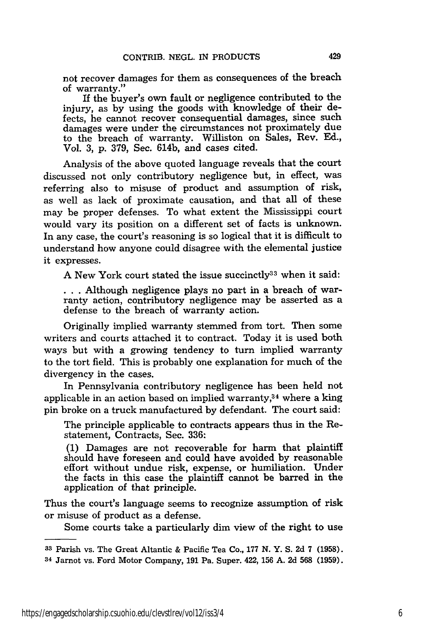not recover damages for them as consequences of the breach of warranty."

If the buyer's own fault or negligence contributed to the injury, as by using the goods with knowledge of their defects, he cannot recover consequential damages, since such damages were under the circumstances not proximately due to the breach of warranty. Williston on Sales, Rev. **Ed.,** Vol. **3, p.** 379, Sec. 614b, and cases cited.

Analysis of the above quoted language reveals that the court discussed not only contributory negligence but, in effect, was referring also to misuse of product and assumption of risk, as well as lack of proximate causation, and that all of these may be proper defenses. To what extent the Mississippi court would vary its position on a different set of facts is unknown. In any case, the court's reasoning is so logical that it is difficult to understand how anyone could disagree with the elemental justice it expresses.

A New York court stated the issue succinctly  $33$  when it said:

**. ..**Although negligence plays no part in a breach of warranty action, contributory negligence may be asserted as a defense to the breach of warranty action.

Originally implied warranty stemmed from tort. Then some writers and courts attached it to contract. Today it is used both ways but with a growing tendency to turn implied warranty to the tort field. This is probably one explanation for much of the divergency in the cases.

In Pennsylvania contributory negligence has been held not applicable in an action based on implied warranty,34 where a king pin broke on a truck manufactured by defendant. The court said:

The principle applicable to contracts appears thus in the Restatement, Contracts, Sec. **336:**

**(1)** Damages are not recoverable for harm that plaintiff should have foreseen and could have avoided **by** reasonable effort without undue risk, expense, or humiliation. Under the facts in this case the plaintiff cannot be barred in the application of that principle.

Thus the court's language seems to recognize assumption of risk or misuse of product as a defense.

Some courts take a particularly dim view of the right to use

**<sup>33</sup>**Parish vs. The Great Altantic **&** Pacific Tea Co., **177 N.** Y. **S. 2d 7 (1958).**

**<sup>34</sup>**Jarnot vs. Ford Motor Company, **191** Pa. Super. 422, **156 A. 2d 568 (1959).**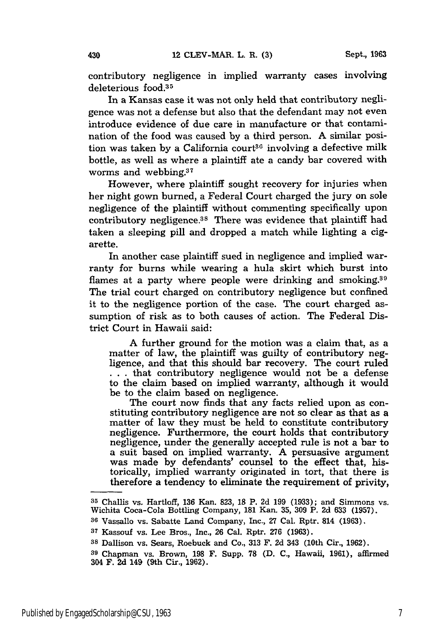contributory negligence in implied warranty cases involving deleterious food.<sup>35</sup>

In a Kansas case it was not only held that contributory negligence was not a defense but also that the defendant may not even introduce evidence of due care in manufacture or that contamination of the food was caused by a third person. A similar position was taken by a California court<sup>36</sup> involving a defective milk bottle, as well as where a plaintiff ate a candy bar covered with worms and webbing.<sup>37</sup>

However, where plaintiff sought recovery for injuries when her night gown burned, a Federal Court charged the jury on sole negligence of the plaintiff without commenting specifically upon contributory negligence.<sup>38</sup> There was evidence that plaintiff had taken a sleeping pill and dropped a match while lighting a cigarette.

In another case plaintiff sued in negligence and implied warranty for burns while wearing a hula skirt which burst into flames at a party where people were drinking and smoking.<sup>39</sup> The trial court charged on contributory negligence but confined it to the negligence portion of the case. The court charged assumption of risk as to both causes of action. The Federal District Court in Hawaii said:

A further ground for the motion was a claim that, as a matter of law, the plaintiff was guilty of contributory negligence, and that this should bar recovery. The court ruled **. . .** that contributory negligence would not be a defense to the claim based on implied warranty, although it would be to the claim based on negligence.

The court now finds that any facts relied upon as constituting contributory negligence are not so clear as that as a matter of law they must be held to constitute contributory negligence. Furthermore, the court holds that contributory negligence, under the generally accepted rule is not a bar to a suit based on implied warranty. A persuasive argument was made by defendants' counsel to the effect that, historically, implied warranty originated in tort, that there is therefore a tendency to eliminate the requirement of privity,

**<sup>35</sup>**Challis vs. Hartloff, 136 Kan. 823, **18** P. 2d 199 (1933); and Simmons vs. Wichita Coca-Cola Bottling Company, 181 Kan. 35, 309 P. 2d 633 (1957).

**<sup>36</sup>**Vassallo vs. Sabatte Land Company, Inc., 27 Cal. Rptr. 814 (1963).

**<sup>37</sup>**Kassouf vs. Lee Bros., Inc., 26 Cal. Rptr. 276 (1963).

**<sup>38</sup>**Dallison vs. Sears, Roebuck and Co., 313 F. 2d 343 (10th Cir., 1962).

**<sup>39</sup>**Chapman vs. Brown, 198 F. Supp. 78 (D. C., Hawaii, 1961), affirmed 304 F. 2d 149 (9th Cir., **1962).**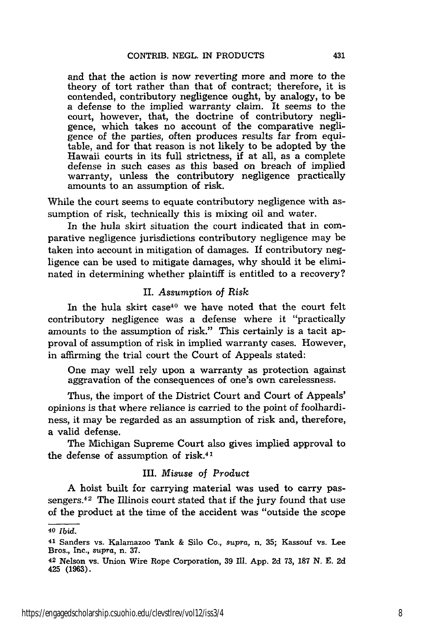and that the action is now reverting more and more to the theory of tort rather than that of contract; therefore, it is contended, contributory negligence ought, by analogy, to be a defense to the implied warranty claim. It seems to the court, however, that, the doctrine of contributory negligence, which takes no account of the comparative negligence of the parties, often produces results far from equitable, and for that reason is not likely to be adopted by the Hawaii courts in its full strictness, if at all, as a complete defense in such cases as this based on breach of implied warranty, unless the contributory negligence practically amounts to an assumption of risk.

While the court seems to equate contributory negligence with assumption of risk, technically this is mixing oil and water.

In the hula skirt situation the court indicated that in comparative negligence jurisdictions contributory negligence may be taken into account in mitigation of damages. If contributory negligence can be used to mitigate damages, why should it be eliminated in determining whether plaintiff is entitled to a recovery?

#### II. *Assumption* of *Risk*

In the hula skirt case<sup>40</sup> we have noted that the court felt contributory negligence was a defense where it "practically amounts to the assumption of risk." This certainly is a tacit approval of assumption of risk in implied warranty cases. However, in affirming the trial court the Court of Appeals stated:

One may well rely upon a warranty as protection against aggravation of the consequences of one's own carelessness.

Thus, the import of the District Court and Court of Appeals' opinions is that where reliance is carried to the point of foolhardiness, it may be regarded as an assumption of risk and, therefore, a valid defense.

The Michigan Supreme Court also gives implied approval to the defense of assumption of risk.41

#### III. *Misuse* of Product

A hoist built for carrying material was used to carry passengers.<sup>42</sup> The Illinois court stated that if the jury found that use of the product at the time of the accident was "outside the scope

**<sup>40</sup>** *Ibid.*

<sup>41</sup> Sanders vs. Kalamazoo Tank & Silo Co., *supra,* n. 35; Kassouf vs. Lee Bros., Inc., *supra,* n. 37.

<sup>42</sup> Nelson vs. Union Wire Rope Corporation, 39 Ill. App. 2d **73,** 187 N. E. 2d 425 **(1963).**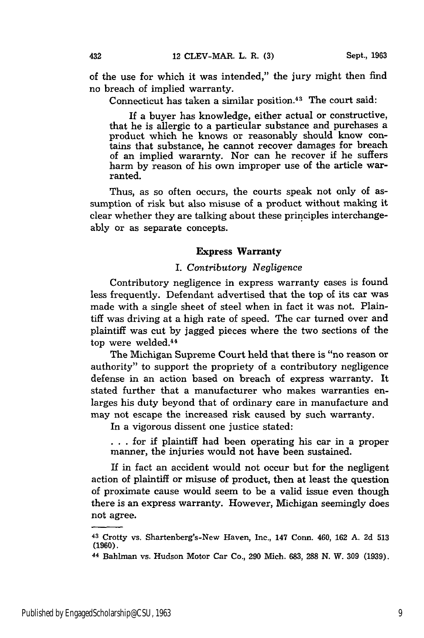of the use for which it was intended," the jury might then find no breach of implied warranty.

Connecticut has taken a similar position.<sup>43</sup> The court said:

If a buyer has knowledge, either actual or constructive, that he is allergic to a particular substance and purchases a product which he knows or reasonably should know contains that substance, he cannot recover damages for breach of an implied wararnty. Nor can he recover if he suffers harm by reason of his own improper use of the article warranted.

Thus, as so often occurs, the courts speak not only of assumption of risk but also misuse of a product without making it clear whether they are talking about these principles interchangeably or as separate concepts.

#### Express Warranty

### I. *Contributory Negligence*

Contributory negligence in express warranty cases is found less frequently. Defendant advertised that the top of its car was made with a single sheet of steel when in fact it was not. Plaintiff was driving at a high rate of speed. The car turned over and plaintiff was cut by jagged pieces where the two sections of the top were welded.<sup>44</sup>

The Michigan Supreme Court held that there is "no reason or authority" to support the propriety of a contributory negligence defense in an action based on breach of express warranty. It stated further that a manufacturer who makes warranties enlarges his duty beyond that of ordinary care in manufacture and may not escape the increased risk caused by such warranty.

In a vigorous dissent one justice stated:

**.. .**for if plaintiff had been operating his car in a proper manner, the injuries would not have been sustained.

If in fact an accident would not occur but for the negligent action of plaintiff or misuse of product, then at least the question of proximate cause would seem to be a valid issue even though there is an express warranty. However, Michigan seemingly does not agree.

**<sup>43</sup>**Crotty vs. Shartenberg's-New Haven, Inc., 147 Conn. 460, 162 A. 2d **513 (1960).**

**<sup>44</sup>**Bahiman vs. Hudson Motor Car Co., **290** Mich. **683, 288 N.** W. **309 (1939).**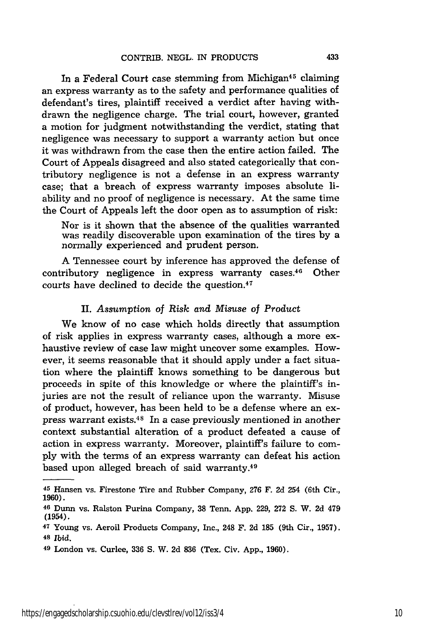In a Federal Court case stemming from Michigan<sup>45</sup> claiming an express warranty as to the safety and performance qualities of defendant's tires, plaintiff received a verdict after having withdrawn the negligence charge. The trial court, however, granted a motion for judgment notwithstanding the verdict, stating that negligence was necessary to support a warranty action but once it was withdrawn from the case then the entire action failed. The Court of Appeals disagreed and also stated categorically that contributory negligence is not a defense in an express warranty case; that a breach of express warranty imposes absolute liability and no proof of negligence is necessary. At the same time the Court of Appeals left the door open as to assumption of risk:

Nor is it shown that the absence of the qualities warranted was readily discoverable upon examination of the tires by a normally experienced and prudent person.

A Tennessee court by inference has approved the defense of contributory negligence in express warranty cases.46 Other courts have declined to decide the question.<sup>47</sup>

# II. *Assumption of Risk and Misuse of Product*

We know of no case which holds directly that assumption of risk applies in express warranty cases, although a more exhaustive review of case law might uncover some examples. However, it seems reasonable that it should apply under a fact situation where the plaintiff knows something to be dangerous but proceeds in spite of this knowledge or where the plaintiff's injuries are not the result of reliance upon the warranty. Misuse of product, however, has been held to be a defense where an express warrant exists. 48 In a case previously mentioned in another context substantial alteration of a product defeated a cause of action in express warranty. Moreover, plaintiff's failure to comply with the terms of an express warranty can defeat his action based upon alleged breach of said warranty. <sup>49</sup>

<sup>45</sup> Hansen vs. Firestone Tire and Rubber Company, 276 F. 2d 254 (6th Cir., 1960).

<sup>46</sup> Dunn vs. Ralston Purina Company, 38 Tenn. App. 229, 272 S. W. 2d 479 (1954).

**<sup>47</sup>**Young vs. Aeroil Products Company, Inc., 248 F. 2d 185 (9th Cir., 1957). **<sup>48</sup>***Ibid.*

**<sup>49</sup>**London vs. Curlee, **336** S. W. **2d** 836 (Tex. Civ. App., **1960).**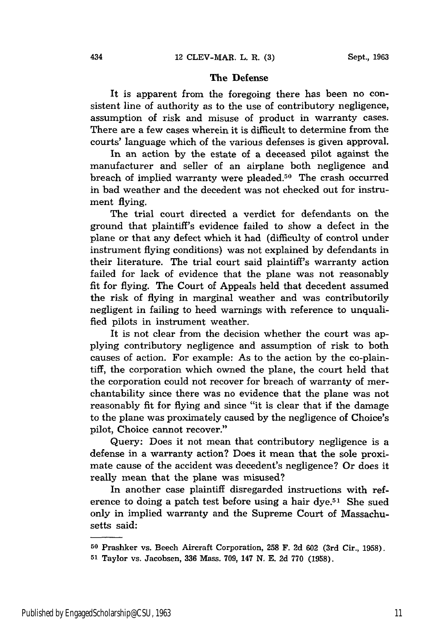# **The Defense**

It is apparent from the foregoing there has been no consistent line of authority as to the use of contributory negligence, assumption of risk and misuse of product in warranty cases. There are a few cases wherein it is difficult to determine from the courts' language which of the various defenses is given approval.

In an action by the estate of a deceased pilot against the manufacturer and seller of an airplane both negligence and breach of implied warranty were pleaded.<sup>50</sup> The crash occurred in bad weather and the decedent was not checked out for instrument flying.

The trial court directed a verdict for defendants on the ground that plaintiff's evidence failed to show a defect in the plane or that any defect which it had (difficulty of control under instrument flying conditions) was not explained by defendants in their literature. The trial court said plaintiff's warranty action failed for lack of evidence that the plane was not reasonably fit for flying. The Court of Appeals held that decedent assumed the risk of flying in marginal weather and was contributorily negligent in failing to heed warnings with reference to unqualified pilots in instrument weather.

It is not clear from the decision whether the court was applying contributory negligence and assumption of risk to both causes of action. For example: As to the action by the co-plaintiff, the corporation which owned the plane, the court held that the corporation could not recover for breach of warranty of merchantability since there was no evidence that the plane was not reasonably fit for flying and since "it is clear that if the damage to the plane was proximately caused by the negligence of Choice's pilot, Choice cannot recover."

Query: Does it not mean that contributory negligence is a defense in a warranty action? Does it mean that the sole proximate cause of the accident was decedent's negligence? Or does it really mean that the plane was misused?

In another case plaintiff disregarded instructions with reference to doing a patch test before using a hair dye.<sup>51</sup> She sued only in implied warranty and the Supreme Court of Massachusetts said:

<sup>50</sup> Prashker vs. Beech Aircraft Corporation, **258** F. 2d **602** (3rd Cir., 1958).

**<sup>51</sup>**Taylor vs. Jacobsen, 336 Mass. 709, 147 N. E. 2d 770 (1958).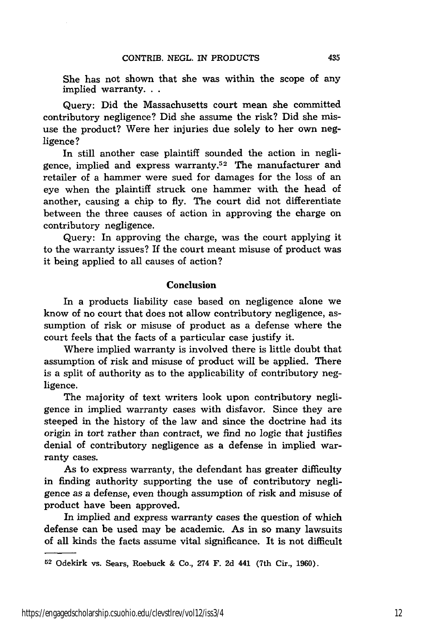She has not shown that she was within the scope of any implied warranty...

Query: Did the Massachusetts court mean she committed contributory negligence? Did she assume the risk? Did she misuse the product? Were her injuries due solely to her own negligence?

In still another case plaintiff sounded the action in negligence, implied and express warranty. $52$  The manufacturer and retailer of a hammer were sued for damages for the loss of an eye when the plaintiff struck one hammer with the head of another, causing a chip to fly. The court did not differentiate between the three causes of action in approving the charge on contributory negligence.

Query: In approving the charge, was the court applying it to the warranty issues? If the court meant misuse of product was it being applied to all causes of action?

### Conclusion

In a products liability case based on negligence alone we know of no court that does not allow contributory negligence, assumption of risk or misuse of product as a defense where the court feels that the facts of a particular case justify it.

Where implied warranty is involved there is little doubt that assumption of risk and misuse of product will be applied. There is a split of authority as to the applicability of contributory negligence.

The majority of text writers look upon contributory negligence in implied warranty cases with disfavor. Since they are steeped in the history of the law and since the doctrine had its origin in tort rather than contract, we find no logic that justifies denial of contributory negligence as a defense in implied warranty cases.

As to express warranty, the defendant has greater difficulty in finding authority supporting the use of contributory negligence as a defense, even though assumption of risk and misuse of product have been approved.

In implied and express warranty cases the question of which defense can be used may be academic. As in so many lawsuits of all kinds the facts assume vital significance. It is not difficult

<sup>52</sup> Odekirk vs. Sears, Roebuck & Co., 274 F. 2d 441 (7th Cir., 1960).